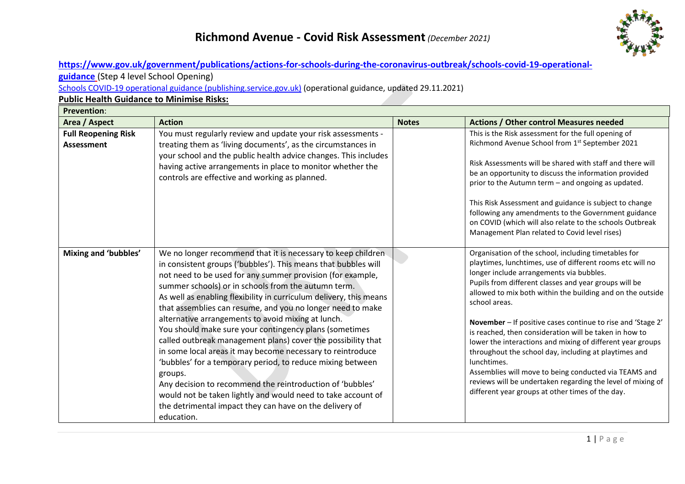

### **[https://www.gov.uk/government/publications/actions-for-schools-during-the-coronavirus-outbreak/schools-covid-19-operational-](https://www.gov.uk/government/publications/actions-for-schools-during-the-coronavirus-outbreak/schools-covid-19-operational-guidance)**

**[guidance](https://www.gov.uk/government/publications/actions-for-schools-during-the-coronavirus-outbreak/schools-covid-19-operational-guidance)** (Step 4 level School Opening)

[Schools COVID-19 operational guidance \(publishing.service.gov.uk\)](https://assets.publishing.service.gov.uk/government/uploads/system/uploads/attachment_data/file/1036663/Schools_guidance_update_for_Omnicron_-_29_Nov.pdf) (operational guidance, updated 29.11.2021)

#### **Public Health Guidance to Minimise Risks:**

| <b>Prevention:</b>                              |                                                                                                                                                                                                                                                                                                                                                                                                                                                                                                                                                                                                                                                                                                                                                                                                                                                                                                                      |              |                                                                                                                                                                                                                                                                                                                                                                                                                                                                                                                                                                                                                                                                                                                                                  |
|-------------------------------------------------|----------------------------------------------------------------------------------------------------------------------------------------------------------------------------------------------------------------------------------------------------------------------------------------------------------------------------------------------------------------------------------------------------------------------------------------------------------------------------------------------------------------------------------------------------------------------------------------------------------------------------------------------------------------------------------------------------------------------------------------------------------------------------------------------------------------------------------------------------------------------------------------------------------------------|--------------|--------------------------------------------------------------------------------------------------------------------------------------------------------------------------------------------------------------------------------------------------------------------------------------------------------------------------------------------------------------------------------------------------------------------------------------------------------------------------------------------------------------------------------------------------------------------------------------------------------------------------------------------------------------------------------------------------------------------------------------------------|
| Area / Aspect                                   | <b>Action</b>                                                                                                                                                                                                                                                                                                                                                                                                                                                                                                                                                                                                                                                                                                                                                                                                                                                                                                        | <b>Notes</b> | <b>Actions / Other control Measures needed</b>                                                                                                                                                                                                                                                                                                                                                                                                                                                                                                                                                                                                                                                                                                   |
| <b>Full Reopening Risk</b><br><b>Assessment</b> | You must regularly review and update your risk assessments -<br>treating them as 'living documents', as the circumstances in<br>your school and the public health advice changes. This includes<br>having active arrangements in place to monitor whether the<br>controls are effective and working as planned.                                                                                                                                                                                                                                                                                                                                                                                                                                                                                                                                                                                                      |              | This is the Risk assessment for the full opening of<br>Richmond Avenue School from 1st September 2021<br>Risk Assessments will be shared with staff and there will<br>be an opportunity to discuss the information provided<br>prior to the Autumn term - and ongoing as updated.<br>This Risk Assessment and guidance is subject to change<br>following any amendments to the Government guidance<br>on COVID (which will also relate to the schools Outbreak<br>Management Plan related to Covid level rises)                                                                                                                                                                                                                                  |
| Mixing and 'bubbles'                            | We no longer recommend that it is necessary to keep children<br>in consistent groups ('bubbles'). This means that bubbles will<br>not need to be used for any summer provision (for example,<br>summer schools) or in schools from the autumn term.<br>As well as enabling flexibility in curriculum delivery, this means<br>that assemblies can resume, and you no longer need to make<br>alternative arrangements to avoid mixing at lunch.<br>You should make sure your contingency plans (sometimes<br>called outbreak management plans) cover the possibility that<br>in some local areas it may become necessary to reintroduce<br>'bubbles' for a temporary period, to reduce mixing between<br>groups.<br>Any decision to recommend the reintroduction of 'bubbles'<br>would not be taken lightly and would need to take account of<br>the detrimental impact they can have on the delivery of<br>education. |              | Organisation of the school, including timetables for<br>playtimes, lunchtimes, use of different rooms etc will no<br>longer include arrangements via bubbles.<br>Pupils from different classes and year groups will be<br>allowed to mix both within the building and on the outside<br>school areas.<br>November - If positive cases continue to rise and 'Stage 2'<br>is reached, then consideration will be taken in how to<br>lower the interactions and mixing of different year groups<br>throughout the school day, including at playtimes and<br>lunchtimes.<br>Assemblies will move to being conducted via TEAMS and<br>reviews will be undertaken regarding the level of mixing of<br>different year groups at other times of the day. |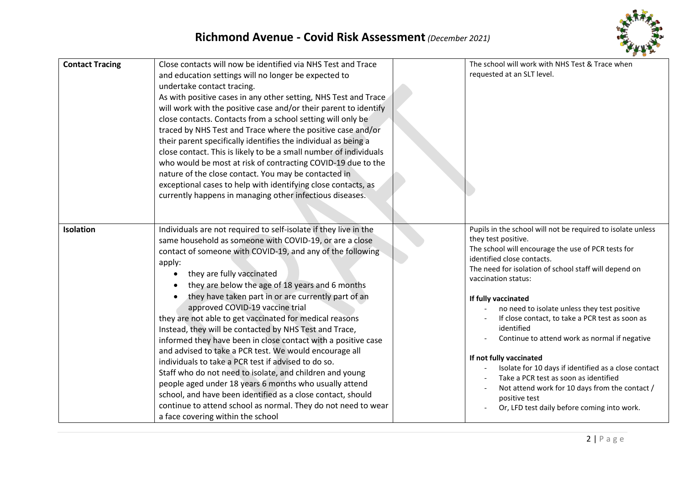

| <b>Contact Tracing</b> | Close contacts will now be identified via NHS Test and Trace<br>and education settings will no longer be expected to<br>undertake contact tracing.<br>As with positive cases in any other setting, NHS Test and Trace<br>will work with the positive case and/or their parent to identify<br>close contacts. Contacts from a school setting will only be<br>traced by NHS Test and Trace where the positive case and/or<br>their parent specifically identifies the individual as being a<br>close contact. This is likely to be a small number of individuals<br>who would be most at risk of contracting COVID-19 due to the<br>nature of the close contact. You may be contacted in<br>exceptional cases to help with identifying close contacts, as<br>currently happens in managing other infectious diseases.                                                                                                                                                             | The school will work with NHS Test & Trace when<br>requested at an SLT level.                                                                                                                                                                                                                                                                                                                                                                                                                                                                                                                                                                                                                 |
|------------------------|---------------------------------------------------------------------------------------------------------------------------------------------------------------------------------------------------------------------------------------------------------------------------------------------------------------------------------------------------------------------------------------------------------------------------------------------------------------------------------------------------------------------------------------------------------------------------------------------------------------------------------------------------------------------------------------------------------------------------------------------------------------------------------------------------------------------------------------------------------------------------------------------------------------------------------------------------------------------------------|-----------------------------------------------------------------------------------------------------------------------------------------------------------------------------------------------------------------------------------------------------------------------------------------------------------------------------------------------------------------------------------------------------------------------------------------------------------------------------------------------------------------------------------------------------------------------------------------------------------------------------------------------------------------------------------------------|
| <b>Isolation</b>       | Individuals are not required to self-isolate if they live in the<br>same household as someone with COVID-19, or are a close<br>contact of someone with COVID-19, and any of the following<br>apply:<br>they are fully vaccinated<br>they are below the age of 18 years and 6 months<br>they have taken part in or are currently part of an<br>approved COVID-19 vaccine trial<br>they are not able to get vaccinated for medical reasons<br>Instead, they will be contacted by NHS Test and Trace,<br>informed they have been in close contact with a positive case<br>and advised to take a PCR test. We would encourage all<br>individuals to take a PCR test if advised to do so.<br>Staff who do not need to isolate, and children and young<br>people aged under 18 years 6 months who usually attend<br>school, and have been identified as a close contact, should<br>continue to attend school as normal. They do not need to wear<br>a face covering within the school | Pupils in the school will not be required to isolate unless<br>they test positive.<br>The school will encourage the use of PCR tests for<br>identified close contacts.<br>The need for isolation of school staff will depend on<br>vaccination status:<br>If fully vaccinated<br>no need to isolate unless they test positive<br>If close contact, to take a PCR test as soon as<br>identified<br>Continue to attend work as normal if negative<br>If not fully vaccinated<br>Isolate for 10 days if identified as a close contact<br>Take a PCR test as soon as identified<br>Not attend work for 10 days from the contact /<br>positive test<br>Or, LFD test daily before coming into work. |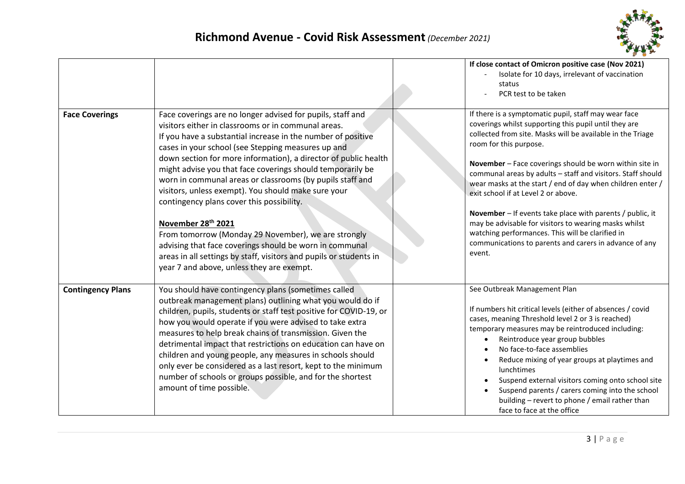

|                          |                                                                                                                                                                                                                                                                                                                                                                                                                                                                                                                                                                                                                                                                                                                                                                                                                  | If close contact of Omicron positive case (Nov 2021)<br>Isolate for 10 days, irrelevant of vaccination<br>status<br>PCR test to be taken                                                                                                                                                                                                                                                                                                                                                                                                                                                                                                                                           |
|--------------------------|------------------------------------------------------------------------------------------------------------------------------------------------------------------------------------------------------------------------------------------------------------------------------------------------------------------------------------------------------------------------------------------------------------------------------------------------------------------------------------------------------------------------------------------------------------------------------------------------------------------------------------------------------------------------------------------------------------------------------------------------------------------------------------------------------------------|------------------------------------------------------------------------------------------------------------------------------------------------------------------------------------------------------------------------------------------------------------------------------------------------------------------------------------------------------------------------------------------------------------------------------------------------------------------------------------------------------------------------------------------------------------------------------------------------------------------------------------------------------------------------------------|
| <b>Face Coverings</b>    | Face coverings are no longer advised for pupils, staff and<br>visitors either in classrooms or in communal areas.<br>If you have a substantial increase in the number of positive<br>cases in your school (see Stepping measures up and<br>down section for more information), a director of public health<br>might advise you that face coverings should temporarily be<br>worn in communal areas or classrooms (by pupils staff and<br>visitors, unless exempt). You should make sure your<br>contingency plans cover this possibility.<br>November 28 <sup>th</sup> 2021<br>From tomorrow (Monday 29 November), we are strongly<br>advising that face coverings should be worn in communal<br>areas in all settings by staff, visitors and pupils or students in<br>year 7 and above, unless they are exempt. | If there is a symptomatic pupil, staff may wear face<br>coverings whilst supporting this pupil until they are<br>collected from site. Masks will be available in the Triage<br>room for this purpose.<br>November - Face coverings should be worn within site in<br>communal areas by adults - staff and visitors. Staff should<br>wear masks at the start / end of day when children enter /<br>exit school if at Level 2 or above.<br>November - If events take place with parents / public, it<br>may be advisable for visitors to wearing masks whilst<br>watching performances. This will be clarified in<br>communications to parents and carers in advance of any<br>event. |
| <b>Contingency Plans</b> | You should have contingency plans (sometimes called<br>outbreak management plans) outlining what you would do if<br>children, pupils, students or staff test positive for COVID-19, or<br>how you would operate if you were advised to take extra<br>measures to help break chains of transmission. Given the<br>detrimental impact that restrictions on education can have on<br>children and young people, any measures in schools should<br>only ever be considered as a last resort, kept to the minimum<br>number of schools or groups possible, and for the shortest<br>amount of time possible.                                                                                                                                                                                                           | See Outbreak Management Plan<br>If numbers hit critical levels (either of absences / covid<br>cases, meaning Threshold level 2 or 3 is reached)<br>temporary measures may be reintroduced including:<br>Reintroduce year group bubbles<br>$\bullet$<br>No face-to-face assemblies<br>Reduce mixing of year groups at playtimes and<br>$\bullet$<br>lunchtimes<br>Suspend external visitors coming onto school site<br>$\bullet$<br>Suspend parents / carers coming into the school<br>$\bullet$<br>building - revert to phone / email rather than<br>face to face at the office                                                                                                    |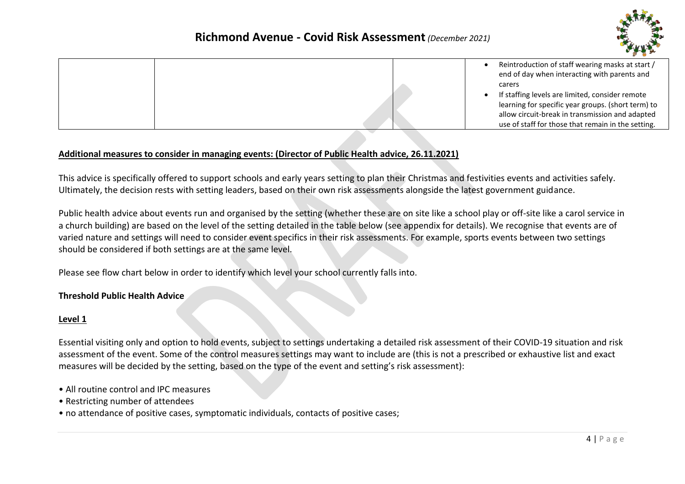

|  | Reintroduction of staff wearing masks at start /<br>end of day when interacting with parents and |
|--|--------------------------------------------------------------------------------------------------|
|  | carers                                                                                           |
|  | If staffing levels are limited, consider remote                                                  |
|  | learning for specific year groups. (short term) to                                               |
|  | allow circuit-break in transmission and adapted                                                  |
|  | use of staff for those that remain in the setting.                                               |

#### **Additional measures to consider in managing events: (Director of Public Health advice, 26.11.2021)**

This advice is specifically offered to support schools and early years setting to plan their Christmas and festivities events and activities safely. Ultimately, the decision rests with setting leaders, based on their own risk assessments alongside the latest government guidance.

Public health advice about events run and organised by the setting (whether these are on site like a school play or off-site like a carol service in a church building) are based on the level of the setting detailed in the table below (see appendix for details). We recognise that events are of varied nature and settings will need to consider event specifics in their risk assessments. For example, sports events between two settings should be considered if both settings are at the same level.

Please see flow chart below in order to identify which level your school currently falls into.

#### **Threshold Public Health Advice**

#### **Level 1**

Essential visiting only and option to hold events, subject to settings undertaking a detailed risk assessment of their COVID-19 situation and risk assessment of the event. Some of the control measures settings may want to include are (this is not a prescribed or exhaustive list and exact measures will be decided by the setting, based on the type of the event and setting's risk assessment):

- All routine control and IPC measures
- Restricting number of attendees
- no attendance of positive cases, symptomatic individuals, contacts of positive cases;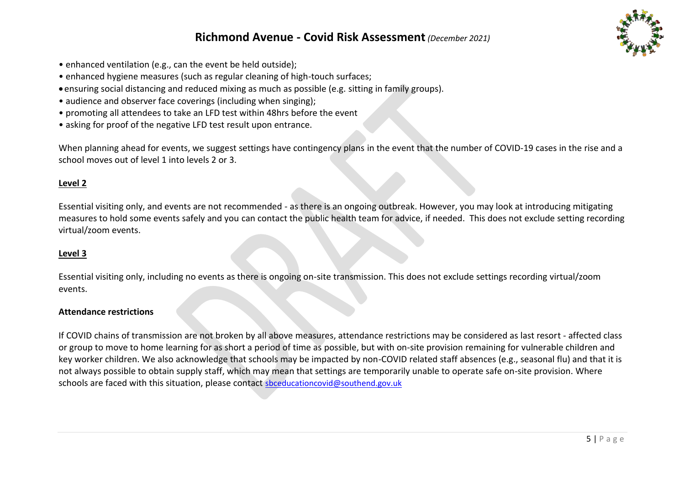## **Richmond Avenue - Covid Risk Assessment***(December 2021)*



- enhanced ventilation (e.g., can the event be held outside);
- enhanced hygiene measures (such as regular cleaning of high-touch surfaces;
- ensuring social distancing and reduced mixing as much as possible (e.g. sitting in family groups).
- audience and observer face coverings (including when singing);
- promoting all attendees to take an LFD test within 48hrs before the event
- asking for proof of the negative LFD test result upon entrance.

When planning ahead for events, we suggest settings have contingency plans in the event that the number of COVID-19 cases in the rise and a school moves out of level 1 into levels 2 or 3.

### **Level 2**

Essential visiting only, and events are not recommended - as there is an ongoing outbreak. However, you may look at introducing mitigating measures to hold some events safely and you can contact the public health team for advice, if needed. This does not exclude setting recording virtual/zoom events.

#### **Level 3**

Essential visiting only, including no events as there is ongoing on-site transmission. This does not exclude settings recording virtual/zoom events.

#### **Attendance restrictions**

If COVID chains of transmission are not broken by all above measures, attendance restrictions may be considered as last resort - affected class or group to move to home learning for as short a period of time as possible, but with on-site provision remaining for vulnerable children and key worker children. We also acknowledge that schools may be impacted by non-COVID related staff absences (e.g., seasonal flu) and that it is not always possible to obtain supply staff, which may mean that settings are temporarily unable to operate safe on-site provision. Where schools are faced with this situation, please contact [sbceducationcovid@southend.gov.uk](mailto:sbceducationcovid@southend.gov.uk)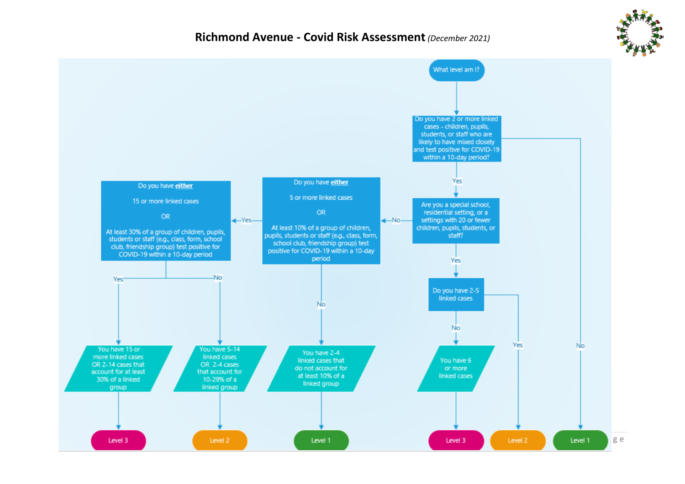

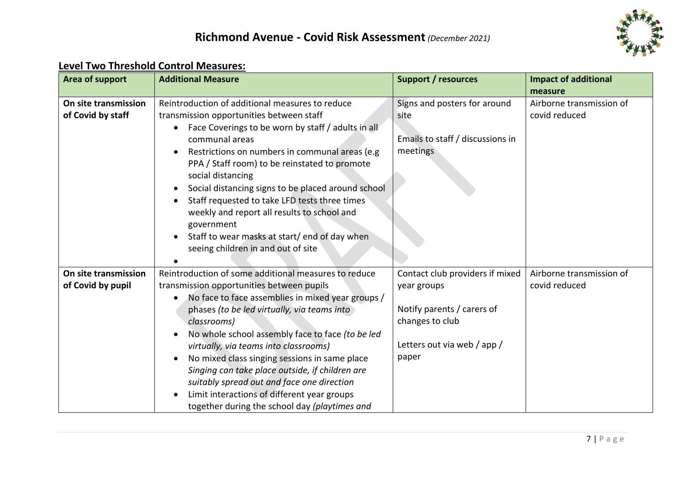

# **Level Two Threshold Control Measures:**

| Area of support      | <b>Additional Measure</b>                            | <b>Support / resources</b>       | <b>Impact of additional</b> |
|----------------------|------------------------------------------------------|----------------------------------|-----------------------------|
|                      |                                                      |                                  | measure                     |
| On site transmission | Reintroduction of additional measures to reduce      | Signs and posters for around     | Airborne transmission of    |
| of Covid by staff    | transmission opportunities between staff             | site                             | covid reduced               |
|                      | Face Coverings to be worn by staff / adults in all   |                                  |                             |
|                      | communal areas                                       | Emails to staff / discussions in |                             |
|                      | Restrictions on numbers in communal areas (e.g.      | meetings                         |                             |
|                      | PPA / Staff room) to be reinstated to promote        |                                  |                             |
|                      | social distancing                                    |                                  |                             |
|                      | Social distancing signs to be placed around school   |                                  |                             |
|                      | Staff requested to take LFD tests three times        |                                  |                             |
|                      | weekly and report all results to school and          |                                  |                             |
|                      | government                                           |                                  |                             |
|                      | Staff to wear masks at start/end of day when         |                                  |                             |
|                      | seeing children in and out of site                   |                                  |                             |
|                      |                                                      |                                  |                             |
| On site transmission | Reintroduction of some additional measures to reduce | Contact club providers if mixed  | Airborne transmission of    |
| of Covid by pupil    | transmission opportunities between pupils            | year groups                      | covid reduced               |
|                      | No face to face assemblies in mixed year groups /    |                                  |                             |
|                      | phases (to be led virtually, via teams into          | Notify parents / carers of       |                             |
|                      | classrooms)                                          | changes to club                  |                             |
|                      | No whole school assembly face to face (to be led     |                                  |                             |
|                      | virtually, via teams into classrooms)                | Letters out via web / app /      |                             |
|                      | No mixed class singing sessions in same place        | paper                            |                             |
|                      | Singing can take place outside, if children are      |                                  |                             |
|                      | suitably spread out and face one direction           |                                  |                             |
|                      | Limit interactions of different year groups          |                                  |                             |
|                      | together during the school day (playtimes and        |                                  |                             |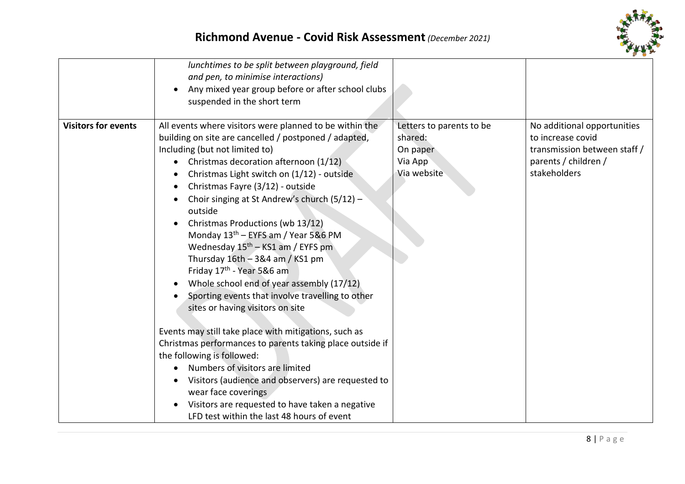

|                            | lunchtimes to be split between playground, field<br>and pen, to minimise interactions)<br>Any mixed year group before or after school clubs<br>suspended in the short term                                                                                                                                                                                                                                                                                                                                                                                                                                                                                                                                                                                                                                                                                                                                                                                                                                                                                   |                                                                           |                                                                                                                          |
|----------------------------|--------------------------------------------------------------------------------------------------------------------------------------------------------------------------------------------------------------------------------------------------------------------------------------------------------------------------------------------------------------------------------------------------------------------------------------------------------------------------------------------------------------------------------------------------------------------------------------------------------------------------------------------------------------------------------------------------------------------------------------------------------------------------------------------------------------------------------------------------------------------------------------------------------------------------------------------------------------------------------------------------------------------------------------------------------------|---------------------------------------------------------------------------|--------------------------------------------------------------------------------------------------------------------------|
| <b>Visitors for events</b> | All events where visitors were planned to be within the<br>building on site are cancelled / postponed / adapted,<br>Including (but not limited to)<br>Christmas decoration afternoon (1/12)<br>Christmas Light switch on (1/12) - outside<br>Christmas Fayre (3/12) - outside<br>Choir singing at St Andrew's church (5/12) -<br>outside<br>Christmas Productions (wb 13/12)<br>Monday 13 <sup>th</sup> – EYFS am / Year 5&6 PM<br>Wednesday $15th - KS1$ am / EYFS pm<br>Thursday 16th - 3&4 am / KS1 pm<br>Friday 17 <sup>th</sup> - Year 5&6 am<br>Whole school end of year assembly (17/12)<br>Sporting events that involve travelling to other<br>sites or having visitors on site<br>Events may still take place with mitigations, such as<br>Christmas performances to parents taking place outside if<br>the following is followed:<br>Numbers of visitors are limited<br>Visitors (audience and observers) are requested to<br>wear face coverings<br>Visitors are requested to have taken a negative<br>LFD test within the last 48 hours of event | Letters to parents to be<br>shared:<br>On paper<br>Via App<br>Via website | No additional opportunities<br>to increase covid<br>transmission between staff /<br>parents / children /<br>stakeholders |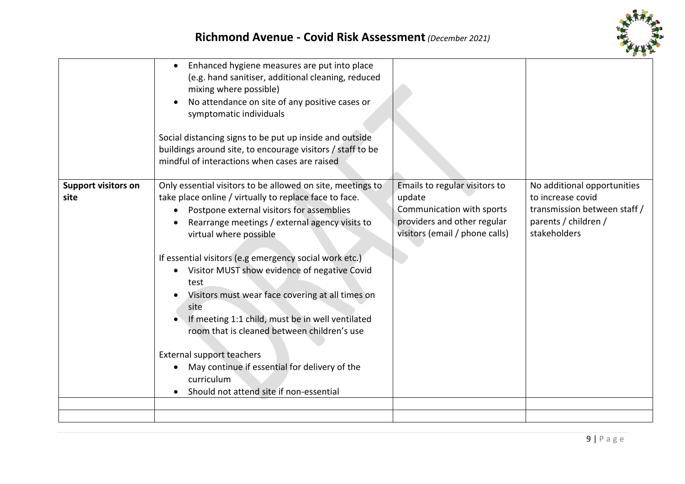



|                                    | Enhanced hygiene measures are put into place<br>(e.g. hand sanitiser, additional cleaning, reduced<br>mixing where possible)<br>No attendance on site of any positive cases or<br>$\bullet$<br>symptomatic individuals<br>Social distancing signs to be put up inside and outside<br>buildings around site, to encourage visitors / staff to be<br>mindful of interactions when cases are raised                                                                                                                                                                                                                                                                                          |                                                                                                                                       |                                                                                                                          |
|------------------------------------|-------------------------------------------------------------------------------------------------------------------------------------------------------------------------------------------------------------------------------------------------------------------------------------------------------------------------------------------------------------------------------------------------------------------------------------------------------------------------------------------------------------------------------------------------------------------------------------------------------------------------------------------------------------------------------------------|---------------------------------------------------------------------------------------------------------------------------------------|--------------------------------------------------------------------------------------------------------------------------|
| <b>Support visitors on</b><br>site | Only essential visitors to be allowed on site, meetings to<br>take place online / virtually to replace face to face.<br>Postpone external visitors for assemblies<br>Rearrange meetings / external agency visits to<br>virtual where possible<br>If essential visitors (e.g emergency social work etc.)<br>Visitor MUST show evidence of negative Covid<br>$\bullet$<br>test<br>Visitors must wear face covering at all times on<br>site<br>If meeting 1:1 child, must be in well ventilated<br>room that is cleaned between children's use<br><b>External support teachers</b><br>May continue if essential for delivery of the<br>curriculum<br>Should not attend site if non-essential | Emails to regular visitors to<br>update<br>Communication with sports<br>providers and other regular<br>visitors (email / phone calls) | No additional opportunities<br>to increase covid<br>transmission between staff /<br>parents / children /<br>stakeholders |
|                                    |                                                                                                                                                                                                                                                                                                                                                                                                                                                                                                                                                                                                                                                                                           |                                                                                                                                       |                                                                                                                          |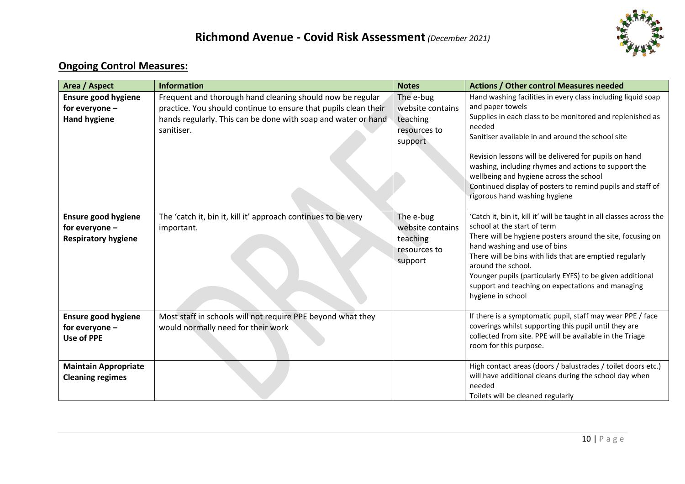

# **Ongoing Control Measures:**

| Area / Aspect                                                                | <b>Information</b>                                                                                                                                                                                          | <b>Notes</b>                                                         | <b>Actions / Other control Measures needed</b>                                                                                                                                                                                                                                                                                                                                                                                                                          |
|------------------------------------------------------------------------------|-------------------------------------------------------------------------------------------------------------------------------------------------------------------------------------------------------------|----------------------------------------------------------------------|-------------------------------------------------------------------------------------------------------------------------------------------------------------------------------------------------------------------------------------------------------------------------------------------------------------------------------------------------------------------------------------------------------------------------------------------------------------------------|
| <b>Ensure good hygiene</b><br>for everyone -<br><b>Hand hygiene</b>          | Frequent and thorough hand cleaning should now be regular<br>practice. You should continue to ensure that pupils clean their<br>hands regularly. This can be done with soap and water or hand<br>sanitiser. | The e-bug<br>website contains<br>teaching<br>resources to<br>support | Hand washing facilities in every class including liquid soap<br>and paper towels<br>Supplies in each class to be monitored and replenished as<br>needed<br>Sanitiser available in and around the school site<br>Revision lessons will be delivered for pupils on hand<br>washing, including rhymes and actions to support the<br>wellbeing and hygiene across the school<br>Continued display of posters to remind pupils and staff of<br>rigorous hand washing hygiene |
| <b>Ensure good hygiene</b><br>for everyone $-$<br><b>Respiratory hygiene</b> | The 'catch it, bin it, kill it' approach continues to be very<br>important.                                                                                                                                 | The e-bug<br>website contains<br>teaching<br>resources to<br>support | 'Catch it, bin it, kill it' will be taught in all classes across the<br>school at the start of term<br>There will be hygiene posters around the site, focusing on<br>hand washing and use of bins<br>There will be bins with lids that are emptied regularly<br>around the school.<br>Younger pupils (particularly EYFS) to be given additional<br>support and teaching on expectations and managing<br>hygiene in school                                               |
| <b>Ensure good hygiene</b><br>for everyone -<br><b>Use of PPE</b>            | Most staff in schools will not require PPE beyond what they<br>would normally need for their work                                                                                                           |                                                                      | If there is a symptomatic pupil, staff may wear PPE / face<br>coverings whilst supporting this pupil until they are<br>collected from site. PPE will be available in the Triage<br>room for this purpose.                                                                                                                                                                                                                                                               |
| <b>Maintain Appropriate</b><br><b>Cleaning regimes</b>                       |                                                                                                                                                                                                             |                                                                      | High contact areas (doors / balustrades / toilet doors etc.)<br>will have additional cleans during the school day when<br>needed<br>Toilets will be cleaned regularly                                                                                                                                                                                                                                                                                                   |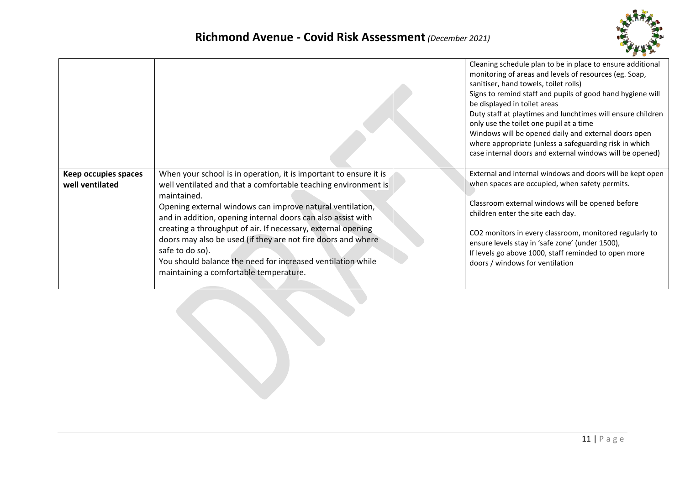

|                                         |                                                                                                                                                                                                                                                                                                                                                                                                                                                                                                                                             | Cleaning schedule plan to be in place to ensure additional<br>monitoring of areas and levels of resources (eg. Soap,<br>sanitiser, hand towels, toilet rolls)<br>Signs to remind staff and pupils of good hand hygiene will<br>be displayed in toilet areas<br>Duty staff at playtimes and lunchtimes will ensure children<br>only use the toilet one pupil at a time<br>Windows will be opened daily and external doors open<br>where appropriate (unless a safeguarding risk in which<br>case internal doors and external windows will be opened) |
|-----------------------------------------|---------------------------------------------------------------------------------------------------------------------------------------------------------------------------------------------------------------------------------------------------------------------------------------------------------------------------------------------------------------------------------------------------------------------------------------------------------------------------------------------------------------------------------------------|-----------------------------------------------------------------------------------------------------------------------------------------------------------------------------------------------------------------------------------------------------------------------------------------------------------------------------------------------------------------------------------------------------------------------------------------------------------------------------------------------------------------------------------------------------|
| Keep occupies spaces<br>well ventilated | When your school is in operation, it is important to ensure it is<br>well ventilated and that a comfortable teaching environment is<br>maintained.<br>Opening external windows can improve natural ventilation,<br>and in addition, opening internal doors can also assist with<br>creating a throughput of air. If necessary, external opening<br>doors may also be used (if they are not fire doors and where<br>safe to do so).<br>You should balance the need for increased ventilation while<br>maintaining a comfortable temperature. | External and internal windows and doors will be kept open<br>when spaces are occupied, when safety permits.<br>Classroom external windows will be opened before<br>children enter the site each day.<br>CO2 monitors in every classroom, monitored regularly to<br>ensure levels stay in 'safe zone' (under 1500),<br>If levels go above 1000, staff reminded to open more<br>doors / windows for ventilation                                                                                                                                       |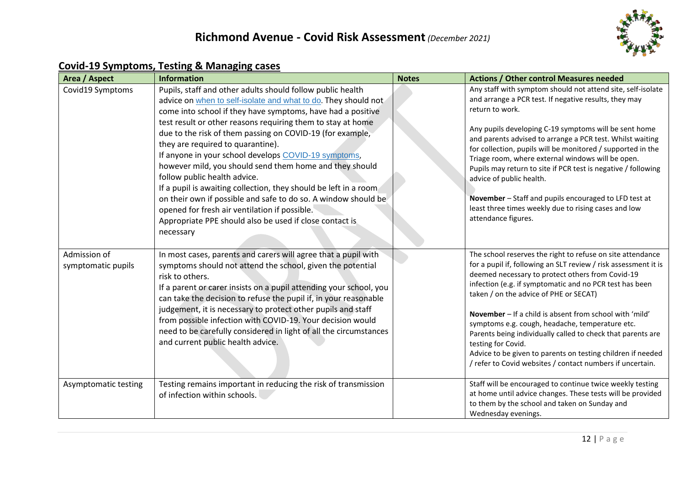

# **Covid-19 Symptoms, Testing & Managing cases**

| <b>Area / Aspect</b>               | <b>Information</b>                                                                                                                                                                                                                                                                                                                                                                                                                                                                                                                                                                                                                                                                                                                                                             | <b>Notes</b> | <b>Actions / Other control Measures needed</b>                                                                                                                                                                                                                                                                                                                                                                                                                                                                                                                                                                         |
|------------------------------------|--------------------------------------------------------------------------------------------------------------------------------------------------------------------------------------------------------------------------------------------------------------------------------------------------------------------------------------------------------------------------------------------------------------------------------------------------------------------------------------------------------------------------------------------------------------------------------------------------------------------------------------------------------------------------------------------------------------------------------------------------------------------------------|--------------|------------------------------------------------------------------------------------------------------------------------------------------------------------------------------------------------------------------------------------------------------------------------------------------------------------------------------------------------------------------------------------------------------------------------------------------------------------------------------------------------------------------------------------------------------------------------------------------------------------------------|
| Covid19 Symptoms                   | Pupils, staff and other adults should follow public health<br>advice on when to self-isolate and what to do. They should not<br>come into school if they have symptoms, have had a positive<br>test result or other reasons requiring them to stay at home<br>due to the risk of them passing on COVID-19 (for example,<br>they are required to quarantine).<br>If anyone in your school develops COVID-19 symptoms,<br>however mild, you should send them home and they should<br>follow public health advice.<br>If a pupil is awaiting collection, they should be left in a room<br>on their own if possible and safe to do so. A window should be<br>opened for fresh air ventilation if possible.<br>Appropriate PPE should also be used if close contact is<br>necessary |              | Any staff with symptom should not attend site, self-isolate<br>and arrange a PCR test. If negative results, they may<br>return to work.<br>Any pupils developing C-19 symptoms will be sent home<br>and parents advised to arrange a PCR test. Whilst waiting<br>for collection, pupils will be monitored / supported in the<br>Triage room, where external windows will be open.<br>Pupils may return to site if PCR test is negative / following<br>advice of public health.<br>November - Staff and pupils encouraged to LFD test at<br>least three times weekly due to rising cases and low<br>attendance figures. |
| Admission of<br>symptomatic pupils | In most cases, parents and carers will agree that a pupil with<br>symptoms should not attend the school, given the potential<br>risk to others.<br>If a parent or carer insists on a pupil attending your school, you<br>can take the decision to refuse the pupil if, in your reasonable<br>judgement, it is necessary to protect other pupils and staff<br>from possible infection with COVID-19. Your decision would<br>need to be carefully considered in light of all the circumstances<br>and current public health advice.                                                                                                                                                                                                                                              |              | The school reserves the right to refuse on site attendance<br>for a pupil if, following an SLT review / risk assessment it is<br>deemed necessary to protect others from Covid-19<br>infection (e.g. if symptomatic and no PCR test has been<br>taken / on the advice of PHE or SECAT)<br>November - If a child is absent from school with 'mild'<br>symptoms e.g. cough, headache, temperature etc.<br>Parents being individually called to check that parents are<br>testing for Covid.<br>Advice to be given to parents on testing children if needed<br>/ refer to Covid websites / contact numbers if uncertain.  |
| Asymptomatic testing               | Testing remains important in reducing the risk of transmission<br>of infection within schools.                                                                                                                                                                                                                                                                                                                                                                                                                                                                                                                                                                                                                                                                                 |              | Staff will be encouraged to continue twice weekly testing<br>at home until advice changes. These tests will be provided<br>to them by the school and taken on Sunday and<br>Wednesday evenings.                                                                                                                                                                                                                                                                                                                                                                                                                        |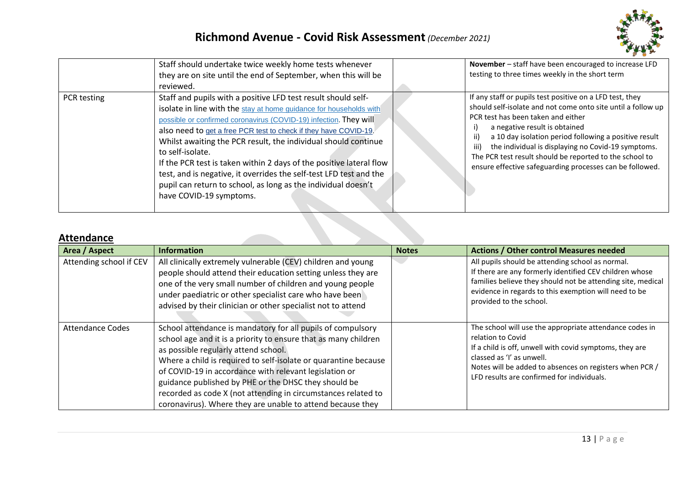

|             | Staff should undertake twice weekly home tests whenever<br>they are on site until the end of September, when this will be<br>reviewed.                                                                                                                                                                                                                                                                                                                                                                                                                                                                      | November - staff have been encouraged to increase LFD<br>testing to three times weekly in the short term                                                                                                                                                                                                                                                                                                                                             |
|-------------|-------------------------------------------------------------------------------------------------------------------------------------------------------------------------------------------------------------------------------------------------------------------------------------------------------------------------------------------------------------------------------------------------------------------------------------------------------------------------------------------------------------------------------------------------------------------------------------------------------------|------------------------------------------------------------------------------------------------------------------------------------------------------------------------------------------------------------------------------------------------------------------------------------------------------------------------------------------------------------------------------------------------------------------------------------------------------|
| PCR testing | Staff and pupils with a positive LFD test result should self-<br>isolate in line with the stay at home guidance for households with<br>possible or confirmed coronavirus (COVID-19) infection. They will<br>also need to get a free PCR test to check if they have COVID-19.<br>Whilst awaiting the PCR result, the individual should continue<br>to self-isolate.<br>If the PCR test is taken within 2 days of the positive lateral flow<br>test, and is negative, it overrides the self-test LFD test and the<br>pupil can return to school, as long as the individual doesn't<br>have COVID-19 symptoms. | If any staff or pupils test positive on a LFD test, they<br>should self-isolate and not come onto site until a follow up<br>PCR test has been taken and either<br>a negative result is obtained<br>a 10 day isolation period following a positive result<br>ii)<br>iii)<br>the individual is displaying no Covid-19 symptoms.<br>The PCR test result should be reported to the school to<br>ensure effective safeguarding processes can be followed. |

### **Attendance**

| Area / Aspect           | <b>Information</b>                                                                                                                                                                                                                                                                                                                                                                                                                                                                         | <b>Notes</b> | <b>Actions / Other control Measures needed</b>                                                                                                                                                                                                                                |
|-------------------------|--------------------------------------------------------------------------------------------------------------------------------------------------------------------------------------------------------------------------------------------------------------------------------------------------------------------------------------------------------------------------------------------------------------------------------------------------------------------------------------------|--------------|-------------------------------------------------------------------------------------------------------------------------------------------------------------------------------------------------------------------------------------------------------------------------------|
| Attending school if CEV | All clinically extremely vulnerable (CEV) children and young<br>people should attend their education setting unless they are<br>one of the very small number of children and young people<br>under paediatric or other specialist care who have been<br>advised by their clinician or other specialist not to attend                                                                                                                                                                       |              | All pupils should be attending school as normal.<br>If there are any formerly identified CEV children whose<br>families believe they should not be attending site, medical<br>evidence in regards to this exemption will need to be<br>provided to the school.                |
| <b>Attendance Codes</b> | School attendance is mandatory for all pupils of compulsory<br>school age and it is a priority to ensure that as many children<br>as possible regularly attend school.<br>Where a child is required to self-isolate or quarantine because<br>of COVID-19 in accordance with relevant legislation or<br>guidance published by PHE or the DHSC they should be<br>recorded as code X (not attending in circumstances related to<br>coronavirus). Where they are unable to attend because they |              | The school will use the appropriate attendance codes in<br>relation to Covid<br>If a child is off, unwell with covid symptoms, they are<br>classed as 'I' as unwell.<br>Notes will be added to absences on registers when PCR /<br>LFD results are confirmed for individuals. |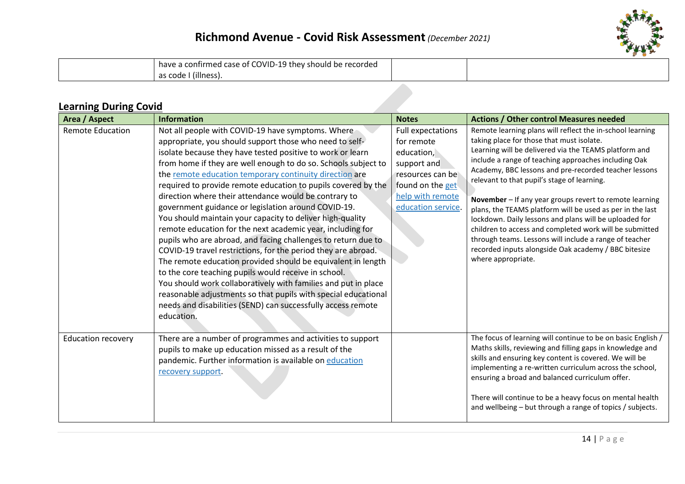

| have a confirmed case of COVID-19 they should be recorded |  |
|-----------------------------------------------------------|--|
| l as code I (illness).                                    |  |

## **Learning During Covid**

| Area / Aspect             | <b>Information</b>                                                                                                                                                                                                                                                                                                                                                                                                                                                                                                                                                                                                                                                                                                                                                                                                                                                                                                                                                                                                                                                                              | <b>Notes</b>                                                                                                                                           | <b>Actions / Other control Measures needed</b>                                                                                                                                                                                                                                                                                                                                                                                                                                                                                                                                                                                                                                                                       |
|---------------------------|-------------------------------------------------------------------------------------------------------------------------------------------------------------------------------------------------------------------------------------------------------------------------------------------------------------------------------------------------------------------------------------------------------------------------------------------------------------------------------------------------------------------------------------------------------------------------------------------------------------------------------------------------------------------------------------------------------------------------------------------------------------------------------------------------------------------------------------------------------------------------------------------------------------------------------------------------------------------------------------------------------------------------------------------------------------------------------------------------|--------------------------------------------------------------------------------------------------------------------------------------------------------|----------------------------------------------------------------------------------------------------------------------------------------------------------------------------------------------------------------------------------------------------------------------------------------------------------------------------------------------------------------------------------------------------------------------------------------------------------------------------------------------------------------------------------------------------------------------------------------------------------------------------------------------------------------------------------------------------------------------|
| <b>Remote Education</b>   | Not all people with COVID-19 have symptoms. Where<br>appropriate, you should support those who need to self-<br>isolate because they have tested positive to work or learn<br>from home if they are well enough to do so. Schools subject to<br>the remote education temporary continuity direction are<br>required to provide remote education to pupils covered by the<br>direction where their attendance would be contrary to<br>government guidance or legislation around COVID-19.<br>You should maintain your capacity to deliver high-quality<br>remote education for the next academic year, including for<br>pupils who are abroad, and facing challenges to return due to<br>COVID-19 travel restrictions, for the period they are abroad.<br>The remote education provided should be equivalent in length<br>to the core teaching pupils would receive in school.<br>You should work collaboratively with families and put in place<br>reasonable adjustments so that pupils with special educational<br>needs and disabilities (SEND) can successfully access remote<br>education. | <b>Full expectations</b><br>for remote<br>education,<br>support and<br>resources can bel<br>found on the get<br>help with remote<br>education service. | Remote learning plans will reflect the in-school learning<br>taking place for those that must isolate.<br>Learning will be delivered via the TEAMS platform and<br>include a range of teaching approaches including Oak<br>Academy, BBC lessons and pre-recorded teacher lessons<br>relevant to that pupil's stage of learning.<br>November - If any year groups revert to remote learning<br>plans, the TEAMS platform will be used as per in the last<br>lockdown. Daily lessons and plans will be uploaded for<br>children to access and completed work will be submitted<br>through teams. Lessons will include a range of teacher<br>recorded inputs alongside Oak academy / BBC bitesize<br>where appropriate. |
| <b>Education recovery</b> | There are a number of programmes and activities to support<br>pupils to make up education missed as a result of the<br>pandemic. Further information is available on education<br>recovery support.                                                                                                                                                                                                                                                                                                                                                                                                                                                                                                                                                                                                                                                                                                                                                                                                                                                                                             |                                                                                                                                                        | The focus of learning will continue to be on basic English /<br>Maths skills, reviewing and filling gaps in knowledge and<br>skills and ensuring key content is covered. We will be<br>implementing a re-written curriculum across the school,<br>ensuring a broad and balanced curriculum offer.<br>There will continue to be a heavy focus on mental health<br>and wellbeing – but through a range of topics / subjects.                                                                                                                                                                                                                                                                                           |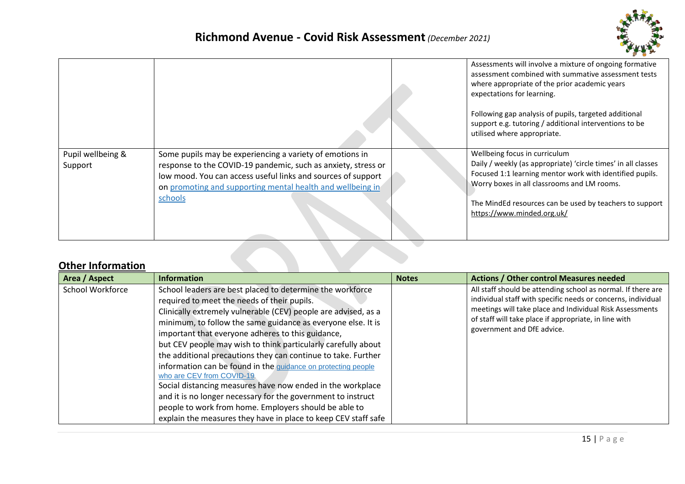

|                              |                                                                                                                                                                                                                                                                    | Assessments will involve a mixture of ongoing formative<br>assessment combined with summative assessment tests<br>where appropriate of the prior academic years<br>expectations for learning.<br>Following gap analysis of pupils, targeted additional<br>support e.g. tutoring / additional interventions to be<br>utilised where appropriate. |
|------------------------------|--------------------------------------------------------------------------------------------------------------------------------------------------------------------------------------------------------------------------------------------------------------------|-------------------------------------------------------------------------------------------------------------------------------------------------------------------------------------------------------------------------------------------------------------------------------------------------------------------------------------------------|
| Pupil wellbeing &<br>Support | Some pupils may be experiencing a variety of emotions in<br>response to the COVID-19 pandemic, such as anxiety, stress or<br>low mood. You can access useful links and sources of support<br>on promoting and supporting mental health and wellbeing in<br>schools | Wellbeing focus in curriculum<br>Daily / weekly (as appropriate) 'circle times' in all classes<br>Focused 1:1 learning mentor work with identified pupils.<br>Worry boxes in all classrooms and LM rooms.<br>The MindEd resources can be used by teachers to support<br>https://www.minded.org.uk/                                              |

## **Other Information**

| Area / Aspect    | <b>Information</b>                                                                                                                                                                                                                                                                                                                                                                                                                                                                                                                                                                                                                                                                                                                                                                        | <b>Notes</b> | <b>Actions / Other control Measures needed</b>                                                                                                                                                                                                                                  |
|------------------|-------------------------------------------------------------------------------------------------------------------------------------------------------------------------------------------------------------------------------------------------------------------------------------------------------------------------------------------------------------------------------------------------------------------------------------------------------------------------------------------------------------------------------------------------------------------------------------------------------------------------------------------------------------------------------------------------------------------------------------------------------------------------------------------|--------------|---------------------------------------------------------------------------------------------------------------------------------------------------------------------------------------------------------------------------------------------------------------------------------|
| School Workforce | School leaders are best placed to determine the workforce<br>required to meet the needs of their pupils.<br>Clinically extremely vulnerable (CEV) people are advised, as a<br>minimum, to follow the same guidance as everyone else. It is<br>important that everyone adheres to this guidance,<br>but CEV people may wish to think particularly carefully about<br>the additional precautions they can continue to take. Further<br>information can be found in the guidance on protecting people<br>who are CEV from COVID-19.<br>Social distancing measures have now ended in the workplace<br>and it is no longer necessary for the government to instruct<br>people to work from home. Employers should be able to<br>explain the measures they have in place to keep CEV staff safe |              | All staff should be attending school as normal. If there are<br>individual staff with specific needs or concerns, individual<br>meetings will take place and Individual Risk Assessments<br>of staff will take place if appropriate, in line with<br>government and DfE advice. |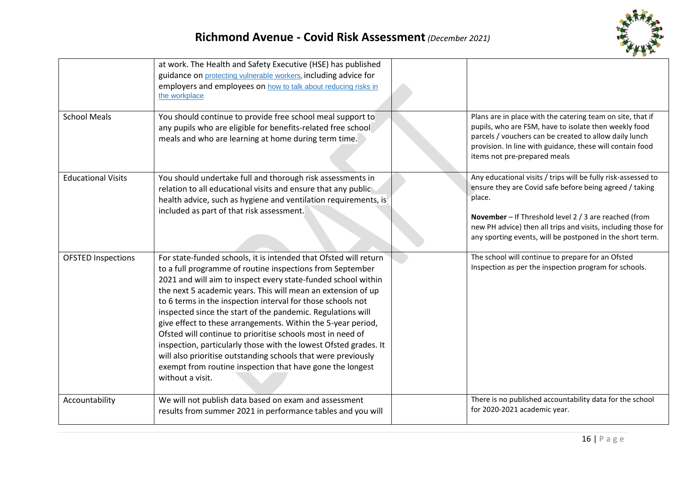

| <b>School Meals</b>       | at work. The Health and Safety Executive (HSE) has published<br>guidance on protecting vulnerable workers, including advice for<br>employers and employees on how to talk about reducing risks in<br>the workplace.<br>You should continue to provide free school meal support to<br>any pupils who are eligible for benefits-related free school<br>meals and who are learning at home during term time.                                                                                                                                                                                                                                                                                                                                        | Plans are in place with the catering team on site, that if<br>pupils, who are FSM, have to isolate then weekly food<br>parcels / vouchers can be created to allow daily lunch<br>provision. In line with guidance, these will contain food<br>items not pre-prepared meals                                                |
|---------------------------|--------------------------------------------------------------------------------------------------------------------------------------------------------------------------------------------------------------------------------------------------------------------------------------------------------------------------------------------------------------------------------------------------------------------------------------------------------------------------------------------------------------------------------------------------------------------------------------------------------------------------------------------------------------------------------------------------------------------------------------------------|---------------------------------------------------------------------------------------------------------------------------------------------------------------------------------------------------------------------------------------------------------------------------------------------------------------------------|
| <b>Educational Visits</b> | You should undertake full and thorough risk assessments in<br>relation to all educational visits and ensure that any public<br>health advice, such as hygiene and ventilation requirements, is<br>included as part of that risk assessment.                                                                                                                                                                                                                                                                                                                                                                                                                                                                                                      | Any educational visits / trips will be fully risk-assessed to<br>ensure they are Covid safe before being agreed / taking<br>place.<br>November - If Threshold level 2 / 3 are reached (from<br>new PH advice) then all trips and visits, including those for<br>any sporting events, will be postponed in the short term. |
| <b>OFSTED Inspections</b> | For state-funded schools, it is intended that Ofsted will return<br>to a full programme of routine inspections from September<br>2021 and will aim to inspect every state-funded school within<br>the next 5 academic years. This will mean an extension of up<br>to 6 terms in the inspection interval for those schools not<br>inspected since the start of the pandemic. Regulations will<br>give effect to these arrangements. Within the 5-year period,<br>Ofsted will continue to prioritise schools most in need of<br>inspection, particularly those with the lowest Ofsted grades. It<br>will also prioritise outstanding schools that were previously<br>exempt from routine inspection that have gone the longest<br>without a visit. | The school will continue to prepare for an Ofsted<br>Inspection as per the inspection program for schools.                                                                                                                                                                                                                |
| Accountability            | We will not publish data based on exam and assessment<br>results from summer 2021 in performance tables and you will                                                                                                                                                                                                                                                                                                                                                                                                                                                                                                                                                                                                                             | There is no published accountability data for the school<br>for 2020-2021 academic year.                                                                                                                                                                                                                                  |